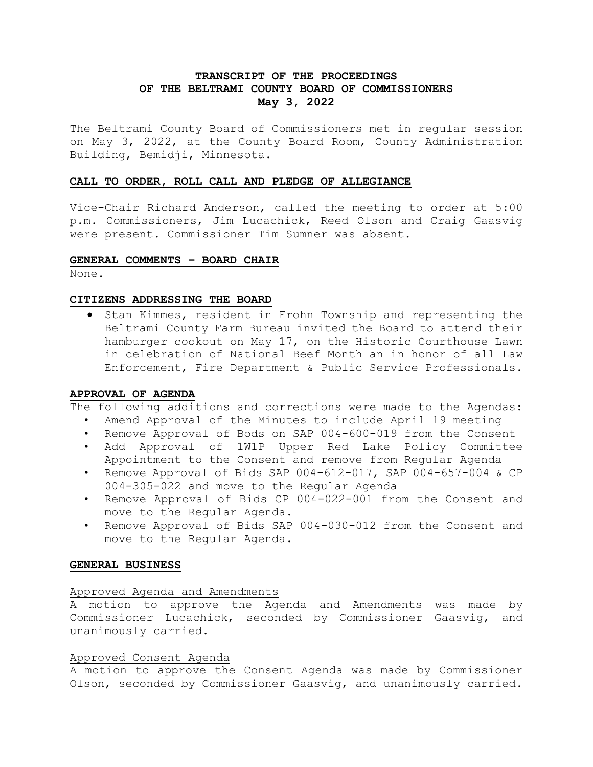# **TRANSCRIPT OF THE PROCEEDINGS OF THE BELTRAMI COUNTY BOARD OF COMMISSIONERS May 3, 2022**

The Beltrami County Board of Commissioners met in regular session on May 3, 2022, at the County Board Room, County Administration Building, Bemidji, Minnesota.

## **CALL TO ORDER, ROLL CALL AND PLEDGE OF ALLEGIANCE**

Vice-Chair Richard Anderson, called the meeting to order at 5:00 p.m. Commissioners, Jim Lucachick, Reed Olson and Craig Gaasvig were present. Commissioner Tim Sumner was absent.

### **GENERAL COMMENTS – BOARD CHAIR**

None.

### **CITIZENS ADDRESSING THE BOARD**

• Stan Kimmes, resident in Frohn Township and representing the Beltrami County Farm Bureau invited the Board to attend their hamburger cookout on May 17, on the Historic Courthouse Lawn in celebration of National Beef Month an in honor of all Law Enforcement, Fire Department & Public Service Professionals.

## **APPROVAL OF AGENDA**

The following additions and corrections were made to the Agendas:

- Amend Approval of the Minutes to include April 19 meeting
- Remove Approval of Bods on SAP 004-600-019 from the Consent
- Add Approval of 1W1P Upper Red Lake Policy Committee Appointment to the Consent and remove from Regular Agenda
- Remove Approval of Bids SAP 004-612-017, SAP 004-657-004 & CP 004-305-022 and move to the Regular Agenda
- Remove Approval of Bids CP 004-022-001 from the Consent and move to the Regular Agenda.
- Remove Approval of Bids SAP 004-030-012 from the Consent and move to the Regular Agenda.

## **GENERAL BUSINESS**

## Approved Agenda and Amendments

A motion to approve the Agenda and Amendments was made by Commissioner Lucachick, seconded by Commissioner Gaasvig, and unanimously carried.

## Approved Consent Agenda

A motion to approve the Consent Agenda was made by Commissioner Olson, seconded by Commissioner Gaasvig, and unanimously carried.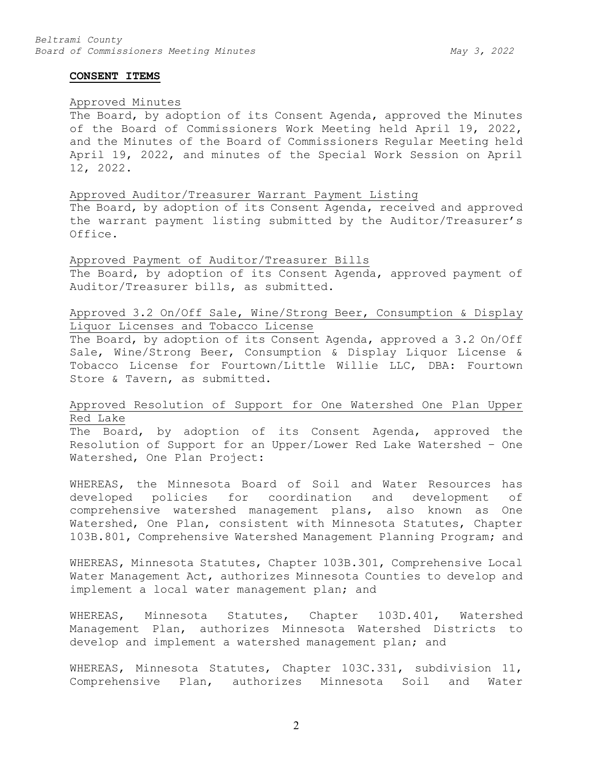#### **CONSENT ITEMS**

## Approved Minutes

The Board, by adoption of its Consent Agenda, approved the Minutes of the Board of Commissioners Work Meeting held April 19, 2022, and the Minutes of the Board of Commissioners Regular Meeting held April 19, 2022, and minutes of the Special Work Session on April 12, 2022.

#### Approved Auditor/Treasurer Warrant Payment Listing

The Board, by adoption of its Consent Agenda, received and approved the warrant payment listing submitted by the Auditor/Treasurer's Office.

Approved Payment of Auditor/Treasurer Bills The Board, by adoption of its Consent Agenda, approved payment of Auditor/Treasurer bills, as submitted.

# Approved 3.2 On/Off Sale, Wine/Strong Beer, Consumption & Display Liquor Licenses and Tobacco License

The Board, by adoption of its Consent Agenda, approved a 3.2 On/Off Sale, Wine/Strong Beer, Consumption & Display Liquor License & Tobacco License for Fourtown/Little Willie LLC, DBA: Fourtown Store & Tavern, as submitted.

# Approved Resolution of Support for One Watershed One Plan Upper Red Lake

The Board, by adoption of its Consent Agenda, approved the Resolution of Support for an Upper/Lower Red Lake Watershed – One Watershed, One Plan Project:

WHEREAS, the Minnesota Board of Soil and Water Resources has developed policies for coordination and development of comprehensive watershed management plans, also known as One Watershed, One Plan, consistent with Minnesota Statutes, Chapter 103B.801, Comprehensive Watershed Management Planning Program; and

WHEREAS, Minnesota Statutes, Chapter 103B.301, Comprehensive Local Water Management Act, authorizes Minnesota Counties to develop and implement a local water management plan; and

WHEREAS, Minnesota Statutes, Chapter 103D.401, Watershed Management Plan, authorizes Minnesota Watershed Districts to develop and implement a watershed management plan; and

WHEREAS, Minnesota Statutes, Chapter 103C.331, subdivision 11, Comprehensive Plan, authorizes Minnesota Soil and Water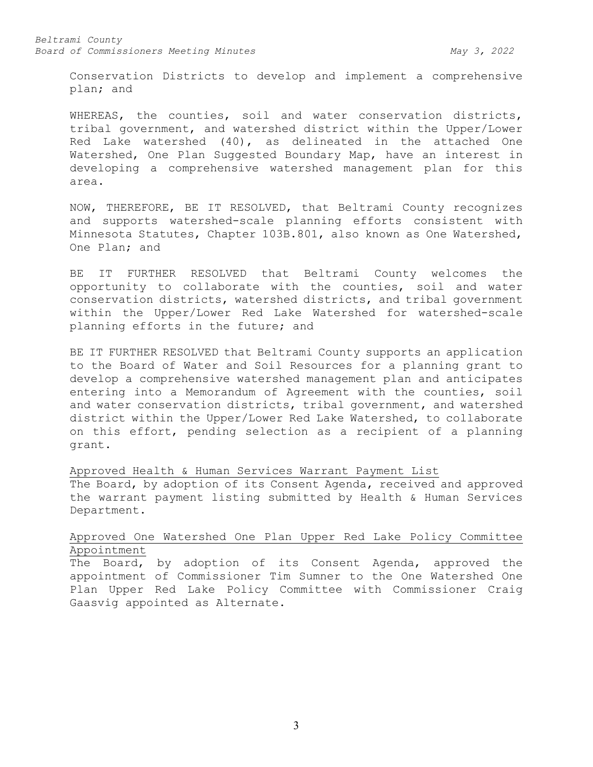#### *Beltrami County Board of Commissioners Meeting Minutes May 3, 2022*

Conservation Districts to develop and implement a comprehensive plan; and

WHEREAS, the counties, soil and water conservation districts, tribal government, and watershed district within the Upper/Lower Red Lake watershed (40), as delineated in the attached One Watershed, One Plan Suggested Boundary Map, have an interest in developing a comprehensive watershed management plan for this area.

NOW, THEREFORE, BE IT RESOLVED, that Beltrami County recognizes and supports watershed-scale planning efforts consistent with Minnesota Statutes, Chapter 103B.801, also known as One Watershed, One Plan; and

BE IT FURTHER RESOLVED that Beltrami County welcomes the opportunity to collaborate with the counties, soil and water conservation districts, watershed districts, and tribal government within the Upper/Lower Red Lake Watershed for watershed-scale planning efforts in the future; and

BE IT FURTHER RESOLVED that Beltrami County supports an application to the Board of Water and Soil Resources for a planning grant to develop a comprehensive watershed management plan and anticipates entering into a Memorandum of Agreement with the counties, soil and water conservation districts, tribal government, and watershed district within the Upper/Lower Red Lake Watershed, to collaborate on this effort, pending selection as a recipient of a planning grant.

Approved Health & Human Services Warrant Payment List The Board, by adoption of its Consent Agenda, received and approved the warrant payment listing submitted by Health & Human Services Department.

## Approved One Watershed One Plan Upper Red Lake Policy Committee Appointment

The Board, by adoption of its Consent Agenda, approved the appointment of Commissioner Tim Sumner to the One Watershed One Plan Upper Red Lake Policy Committee with Commissioner Craig Gaasvig appointed as Alternate.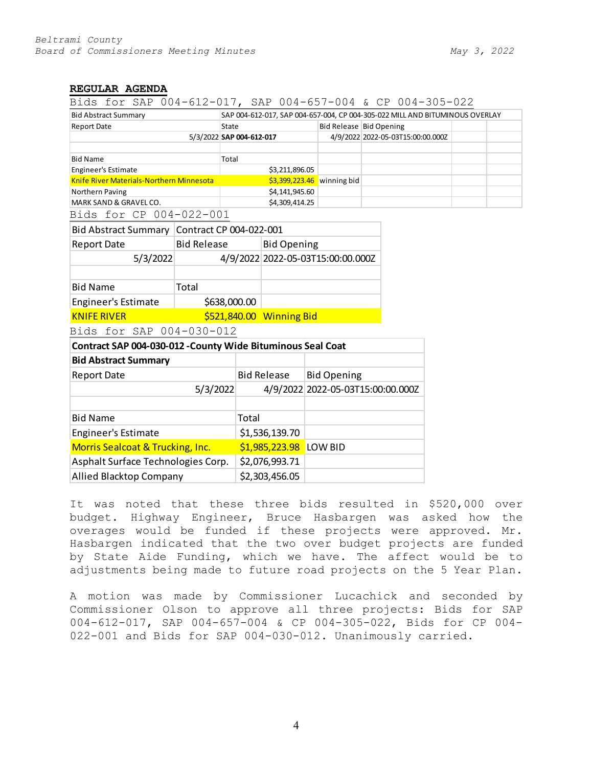### **REGULAR AGENDA**

Bids for SAP 004-612-017, SAP 004-657-004 & CP 004-305-022

| <b>Bid Abstract Summary</b>              | SAP 004-612-017, SAP 004-657-004, CP 004-305-022 MILL AND BITUMINOUS OVERLAY |  |                                   |  |  |
|------------------------------------------|------------------------------------------------------------------------------|--|-----------------------------------|--|--|
| <b>Report Date</b>                       | State                                                                        |  | Bid Release Bid Opening           |  |  |
|                                          | 5/3/2022 SAP 004-612-017                                                     |  | 4/9/2022 2022-05-03T15:00:00.000Z |  |  |
|                                          |                                                                              |  |                                   |  |  |
| <b>Bid Name</b>                          | Total                                                                        |  |                                   |  |  |
| <b>Engineer's Estimate</b>               | \$3,211,896.05                                                               |  |                                   |  |  |
| Knife River Materials-Northern Minnesota | $$3,399,223.46$ winning bid                                                  |  |                                   |  |  |
| Northern Paving                          | \$4,141,945.60                                                               |  |                                   |  |  |
| MARK SAND & GRAVEL CO.                   | \$4,309,414.25                                                               |  |                                   |  |  |

Bids for CP 004-022-001

| <b>Bid Abstract Summary</b> | Contract CP 004-022-001  |                                   |  |
|-----------------------------|--------------------------|-----------------------------------|--|
| <b>Report Date</b>          | <b>Bid Release</b>       | <b>Bid Opening</b>                |  |
| 5/3/2022                    |                          | 4/9/2022 2022-05-03T15:00:00.000Z |  |
|                             |                          |                                   |  |
| <b>Bid Name</b>             | Total                    |                                   |  |
| Engineer's Estimate         | \$638,000.00             |                                   |  |
| <b>KNIFE RIVER</b>          | \$521,840.00 Winning Bid |                                   |  |

Bids for SAP 004-030-012

| Contract SAP 004-030-012 - County Wide Bituminous Seal Coat |                        |                                   |  |  |  |
|-------------------------------------------------------------|------------------------|-----------------------------------|--|--|--|
| <b>Bid Abstract Summary</b>                                 |                        |                                   |  |  |  |
| <b>Report Date</b>                                          | <b>Bid Release</b>     | <b>Bid Opening</b>                |  |  |  |
| 5/3/2022                                                    |                        | 4/9/2022 2022-05-03T15:00:00.000Z |  |  |  |
|                                                             |                        |                                   |  |  |  |
| <b>Bid Name</b>                                             | Total                  |                                   |  |  |  |
| Engineer's Estimate                                         | \$1,536,139.70         |                                   |  |  |  |
| Morris Sealcoat & Trucking, Inc.                            | \$1,985,223.98 LOW BID |                                   |  |  |  |
| Asphalt Surface Technologies Corp.                          | \$2,076,993.71         |                                   |  |  |  |
| <b>Allied Blacktop Company</b>                              | \$2,303,456.05         |                                   |  |  |  |

It was noted that these three bids resulted in \$520,000 over budget. Highway Engineer, Bruce Hasbargen was asked how the overages would be funded if these projects were approved. Mr. Hasbargen indicated that the two over budget projects are funded by State Aide Funding, which we have. The affect would be to adjustments being made to future road projects on the 5 Year Plan.

A motion was made by Commissioner Lucachick and seconded by Commissioner Olson to approve all three projects: Bids for SAP 004-612-017, SAP 004-657-004 & CP 004-305-022, Bids for CP 004- 022-001 and Bids for SAP 004-030-012. Unanimously carried.